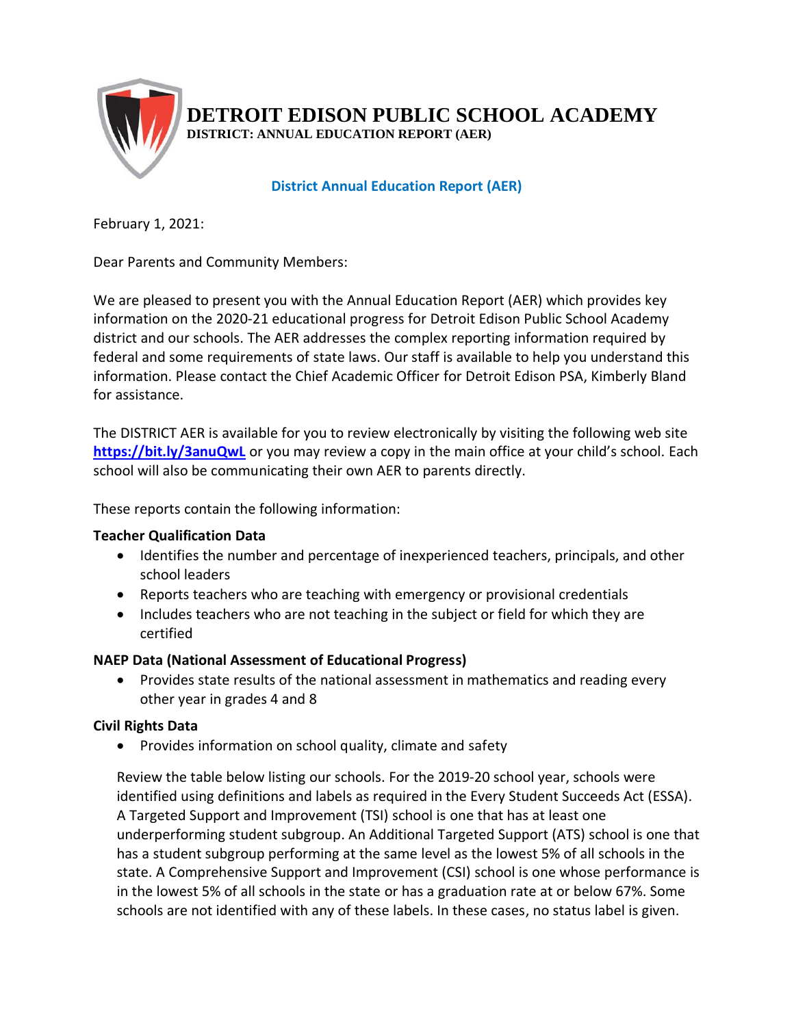

February 1, 2021:

Dear Parents and Community Members:

We are pleased to present you with the Annual Education Report (AER) which provides key information on the 2020-21 educational progress for Detroit Edison Public School Academy district and our schools. The AER addresses the complex reporting information required by federal and some requirements of state laws. Our staff is available to help you understand this information. Please contact the Chief Academic Officer for Detroit Edison PSA, Kimberly Bland for assistance.

The DISTRICT AER is available for you to review electronically by visiting the following web site **https://bit.ly/3anuQwL** or you may review a copy in the main office at your child's school. Each school will also be communicating their own AER to parents directly.

These reports contain the following information:

## **Teacher Qualification Data**

- Identifies the number and percentage of inexperienced teachers, principals, and other school leaders
- Reports teachers who are teaching with emergency or provisional credentials
- Includes teachers who are not teaching in the subject or field for which they are certified

## **NAEP Data (National Assessment of Educational Progress)**

• Provides state results of the national assessment in mathematics and reading every other year in grades 4 and 8

## **Civil Rights Data**

• Provides information on school quality, climate and safety

Review the table below listing our schools. For the 2019-20 school year, schools were identified using definitions and labels as required in the Every Student Succeeds Act (ESSA). A Targeted Support and Improvement (TSI) school is one that has at least one underperforming student subgroup. An Additional Targeted Support (ATS) school is one that has a student subgroup performing at the same level as the lowest 5% of all schools in the state. A Comprehensive Support and Improvement (CSI) school is one whose performance is in the lowest 5% of all schools in the state or has a graduation rate at or below 67%. Some schools are not identified with any of these labels. In these cases, no status label is given.